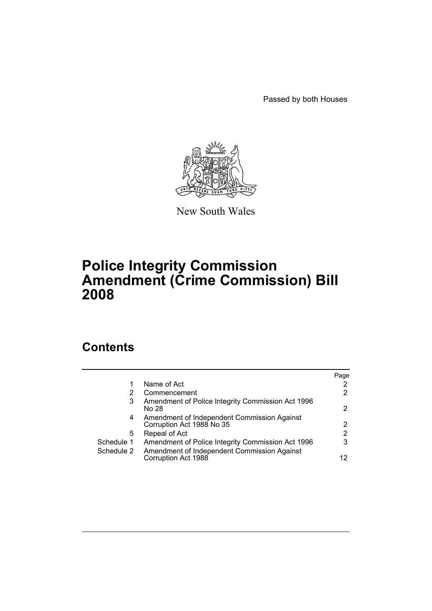Passed by both Houses



New South Wales

# **Police Integrity Commission Amendment (Crime Commission) Bill 2008**

# **Contents**

|            |                                                                          | Page                  |
|------------|--------------------------------------------------------------------------|-----------------------|
|            | Name of Act                                                              | 2                     |
| 2          | Commencement                                                             | $\mathbf{2}^{\circ}$  |
| 3          | Amendment of Police Integrity Commission Act 1996<br>No 28               | $\mathbf{2}^{\prime}$ |
| 4          | Amendment of Independent Commission Against<br>Corruption Act 1988 No 35 | $\mathbf{2}^{\circ}$  |
| 5          | Repeal of Act                                                            | 2                     |
| Schedule 1 | Amendment of Police Integrity Commission Act 1996                        | 3                     |
| Schedule 2 | Amendment of Independent Commission Against<br>Corruption Act 1988       | 12                    |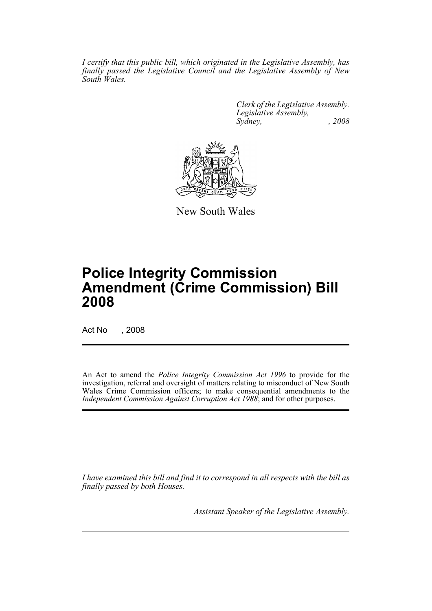*I certify that this public bill, which originated in the Legislative Assembly, has finally passed the Legislative Council and the Legislative Assembly of New South Wales.*

> *Clerk of the Legislative Assembly. Legislative Assembly, Sydney, , 2008*



New South Wales

# **Police Integrity Commission Amendment (Crime Commission) Bill 2008**

Act No , 2008

An Act to amend the *Police Integrity Commission Act 1996* to provide for the investigation, referral and oversight of matters relating to misconduct of New South Wales Crime Commission officers; to make consequential amendments to the *Independent Commission Against Corruption Act 1988*; and for other purposes.

*I have examined this bill and find it to correspond in all respects with the bill as finally passed by both Houses.*

*Assistant Speaker of the Legislative Assembly.*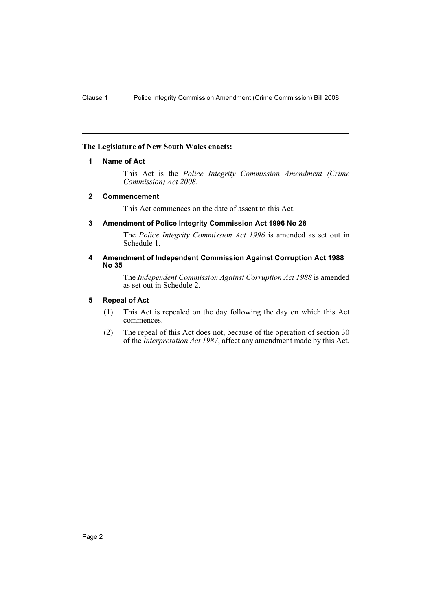## <span id="page-2-0"></span>**The Legislature of New South Wales enacts:**

## **1 Name of Act**

This Act is the *Police Integrity Commission Amendment (Crime Commission) Act 2008*.

## <span id="page-2-1"></span>**2 Commencement**

This Act commences on the date of assent to this Act.

## <span id="page-2-2"></span>**3 Amendment of Police Integrity Commission Act 1996 No 28**

The *Police Integrity Commission Act 1996* is amended as set out in Schedule 1.

## <span id="page-2-3"></span>**4 Amendment of Independent Commission Against Corruption Act 1988 No 35**

The *Independent Commission Against Corruption Act 1988* is amended as set out in Schedule 2.

## <span id="page-2-4"></span>**5 Repeal of Act**

- (1) This Act is repealed on the day following the day on which this Act commences.
- (2) The repeal of this Act does not, because of the operation of section 30 of the *Interpretation Act 1987*, affect any amendment made by this Act.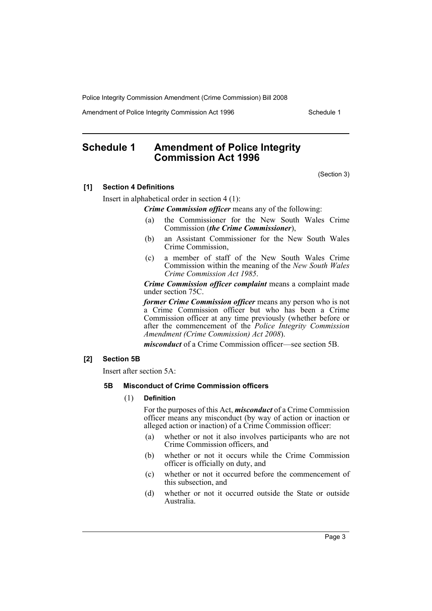Amendment of Police Integrity Commission Act 1996 Schedule 1

# <span id="page-3-0"></span>**Schedule 1 Amendment of Police Integrity Commission Act 1996**

(Section 3)

## **[1] Section 4 Definitions**

Insert in alphabetical order in section 4 (1):

*Crime Commission officer* means any of the following:

- (a) the Commissioner for the New South Wales Crime Commission (*the Crime Commissioner*),
- (b) an Assistant Commissioner for the New South Wales Crime Commission,
- (c) a member of staff of the New South Wales Crime Commission within the meaning of the *New South Wales Crime Commission Act 1985*.

*Crime Commission officer complaint* means a complaint made under section 75C.

*former Crime Commission officer* means any person who is not a Crime Commission officer but who has been a Crime Commission officer at any time previously (whether before or after the commencement of the *Police Integrity Commission Amendment (Crime Commission) Act 2008*).

*misconduct* of a Crime Commission officer—see section 5B.

## **[2] Section 5B**

Insert after section 5A:

## **5B Misconduct of Crime Commission officers**

#### (1) **Definition**

For the purposes of this Act, *misconduct* of a Crime Commission officer means any misconduct (by way of action or inaction or alleged action or inaction) of a Crime Commission officer:

- (a) whether or not it also involves participants who are not Crime Commission officers, and
- (b) whether or not it occurs while the Crime Commission officer is officially on duty, and
- (c) whether or not it occurred before the commencement of this subsection, and
- (d) whether or not it occurred outside the State or outside Australia.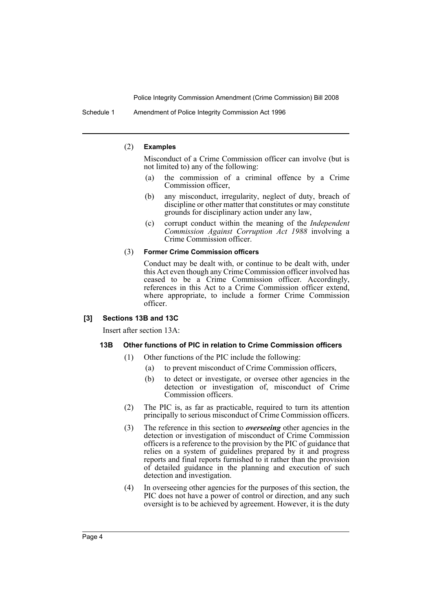Schedule 1 Amendment of Police Integrity Commission Act 1996

#### (2) **Examples**

Misconduct of a Crime Commission officer can involve (but is not limited to) any of the following:

- (a) the commission of a criminal offence by a Crime Commission officer,
- (b) any misconduct, irregularity, neglect of duty, breach of discipline or other matter that constitutes or may constitute grounds for disciplinary action under any law,
- (c) corrupt conduct within the meaning of the *Independent Commission Against Corruption Act 1988* involving a Crime Commission officer.

#### (3) **Former Crime Commission officers**

Conduct may be dealt with, or continue to be dealt with, under this Act even though any Crime Commission officer involved has ceased to be a Crime Commission officer. Accordingly, references in this Act to a Crime Commission officer extend, where appropriate, to include a former Crime Commission officer.

## **[3] Sections 13B and 13C**

Insert after section 13A:

## **13B Other functions of PIC in relation to Crime Commission officers**

- (1) Other functions of the PIC include the following:
	- (a) to prevent misconduct of Crime Commission officers,
	- (b) to detect or investigate, or oversee other agencies in the detection or investigation of, misconduct of Crime Commission officers.
- (2) The PIC is, as far as practicable, required to turn its attention principally to serious misconduct of Crime Commission officers.
- (3) The reference in this section to *overseeing* other agencies in the detection or investigation of misconduct of Crime Commission officers is a reference to the provision by the PIC of guidance that relies on a system of guidelines prepared by it and progress reports and final reports furnished to it rather than the provision of detailed guidance in the planning and execution of such detection and investigation.
- (4) In overseeing other agencies for the purposes of this section, the PIC does not have a power of control or direction, and any such oversight is to be achieved by agreement. However, it is the duty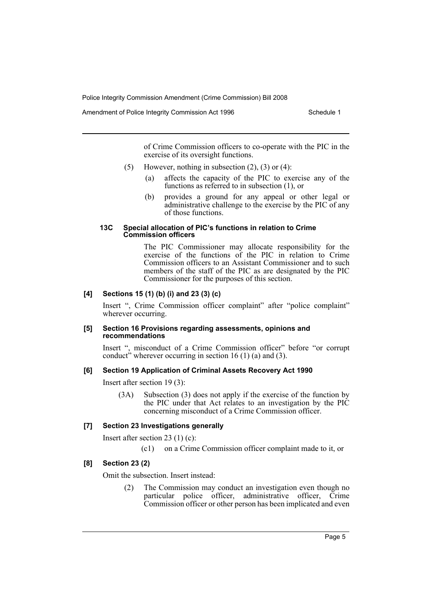Amendment of Police Integrity Commission Act 1996 Schedule 1

of Crime Commission officers to co-operate with the PIC in the exercise of its oversight functions.

- (5) However, nothing in subsection  $(2)$ ,  $(3)$  or  $(4)$ :
	- (a) affects the capacity of the PIC to exercise any of the functions as referred to in subsection (1), or
	- (b) provides a ground for any appeal or other legal or administrative challenge to the exercise by the PIC of any of those functions.

#### **13C Special allocation of PIC's functions in relation to Crime Commission officers**

The PIC Commissioner may allocate responsibility for the exercise of the functions of the PIC in relation to Crime Commission officers to an Assistant Commissioner and to such members of the staff of the PIC as are designated by the PIC Commissioner for the purposes of this section.

## **[4] Sections 15 (1) (b) (i) and 23 (3) (c)**

Insert ", Crime Commission officer complaint" after "police complaint" wherever occurring.

#### **[5] Section 16 Provisions regarding assessments, opinions and recommendations**

Insert ", misconduct of a Crime Commission officer" before "or corrupt conduct<sup>3</sup> wherever occurring in section 16 (1) (a) and (3).

## **[6] Section 19 Application of Criminal Assets Recovery Act 1990**

Insert after section 19 (3):

(3A) Subsection (3) does not apply if the exercise of the function by the PIC under that Act relates to an investigation by the PIC concerning misconduct of a Crime Commission officer.

## **[7] Section 23 Investigations generally**

Insert after section 23 (1) (c):

(c1) on a Crime Commission officer complaint made to it, or

## **[8] Section 23 (2)**

Omit the subsection. Insert instead:

(2) The Commission may conduct an investigation even though no particular police officer, administrative officer, Crime Commission officer or other person has been implicated and even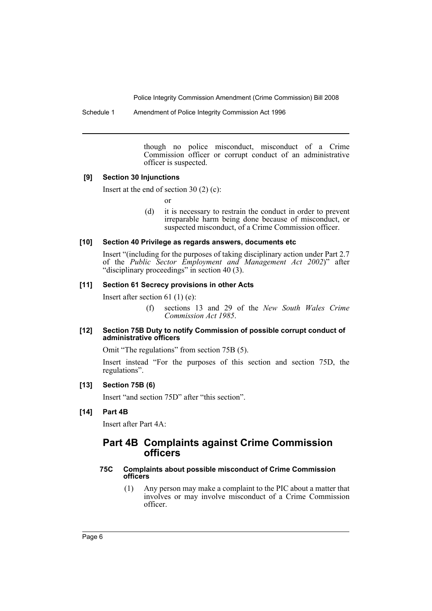Schedule 1 Amendment of Police Integrity Commission Act 1996

though no police misconduct, misconduct of a Crime Commission officer or corrupt conduct of an administrative officer is suspected.

## **[9] Section 30 Injunctions**

Insert at the end of section 30 (2) (c):

or

(d) it is necessary to restrain the conduct in order to prevent irreparable harm being done because of misconduct, or suspected misconduct, of a Crime Commission officer.

## **[10] Section 40 Privilege as regards answers, documents etc**

Insert "(including for the purposes of taking disciplinary action under Part 2.7 of the *Public Sector Employment and Management Act 2002*)" after "disciplinary proceedings" in section 40 (3).

## **[11] Section 61 Secrecy provisions in other Acts**

Insert after section 61 (1) (e):

(f) sections 13 and 29 of the *New South Wales Crime Commission Act 1985*.

## **[12] Section 75B Duty to notify Commission of possible corrupt conduct of administrative officers**

Omit "The regulations" from section 75B (5).

Insert instead "For the purposes of this section and section 75D, the regulations".

## **[13] Section 75B (6)**

Insert "and section 75D" after "this section".

## **[14] Part 4B**

Insert after Part 4A:

## **Part 4B Complaints against Crime Commission officers**

## **75C Complaints about possible misconduct of Crime Commission officers**

(1) Any person may make a complaint to the PIC about a matter that involves or may involve misconduct of a Crime Commission officer.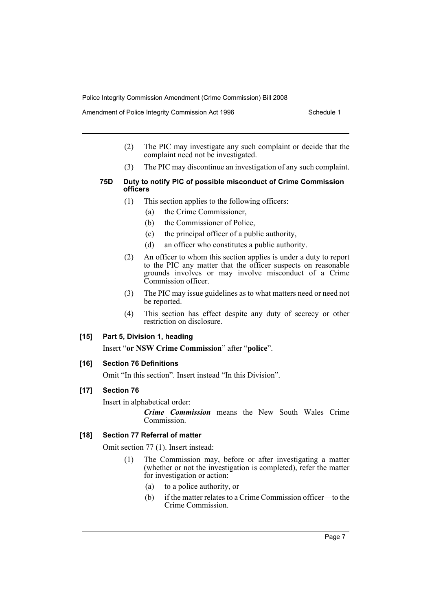Amendment of Police Integrity Commission Act 1996 Schedule 1

- (2) The PIC may investigate any such complaint or decide that the complaint need not be investigated.
- (3) The PIC may discontinue an investigation of any such complaint.
- **75D Duty to notify PIC of possible misconduct of Crime Commission officers**
	- (1) This section applies to the following officers:
		- (a) the Crime Commissioner,
		- (b) the Commissioner of Police,
		- (c) the principal officer of a public authority,
		- (d) an officer who constitutes a public authority.
	- (2) An officer to whom this section applies is under a duty to report to the PIC any matter that the officer suspects on reasonable grounds involves or may involve misconduct of a Crime Commission officer.
	- (3) The PIC may issue guidelines as to what matters need or need not be reported.
	- (4) This section has effect despite any duty of secrecy or other restriction on disclosure.

## **[15] Part 5, Division 1, heading**

Insert "**or NSW Crime Commission**" after "**police**".

## **[16] Section 76 Definitions**

Omit "In this section". Insert instead "In this Division".

## **[17] Section 76**

Insert in alphabetical order:

*Crime Commission* means the New South Wales Crime **Commission** 

## **[18] Section 77 Referral of matter**

Omit section 77 (1). Insert instead:

- (1) The Commission may, before or after investigating a matter (whether or not the investigation is completed), refer the matter for investigation or action:
	- (a) to a police authority, or
	- (b) if the matter relates to a Crime Commission officer—to the Crime Commission.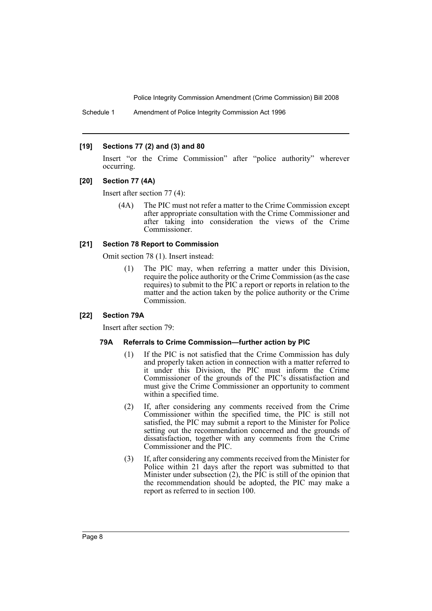Schedule 1 Amendment of Police Integrity Commission Act 1996

#### **[19] Sections 77 (2) and (3) and 80**

Insert "or the Crime Commission" after "police authority" wherever occurring.

#### **[20] Section 77 (4A)**

Insert after section 77 (4):

(4A) The PIC must not refer a matter to the Crime Commission except after appropriate consultation with the Crime Commissioner and after taking into consideration the views of the Crime Commissioner.

## **[21] Section 78 Report to Commission**

Omit section 78 (1). Insert instead:

(1) The PIC may, when referring a matter under this Division, require the police authority or the Crime Commission (as the case requires) to submit to the PIC a report or reports in relation to the matter and the action taken by the police authority or the Crime Commission.

## **[22] Section 79A**

Insert after section 79:

#### **79A Referrals to Crime Commission—further action by PIC**

- (1) If the PIC is not satisfied that the Crime Commission has duly and properly taken action in connection with a matter referred to it under this Division, the PIC must inform the Crime Commissioner of the grounds of the PIC's dissatisfaction and must give the Crime Commissioner an opportunity to comment within a specified time.
- (2) If, after considering any comments received from the Crime Commissioner within the specified time, the PIC is still not satisfied, the PIC may submit a report to the Minister for Police setting out the recommendation concerned and the grounds of dissatisfaction, together with any comments from the Crime Commissioner and the PIC.
- (3) If, after considering any comments received from the Minister for Police within 21 days after the report was submitted to that Minister under subsection (2), the PIC is still of the opinion that the recommendation should be adopted, the PIC may make a report as referred to in section 100.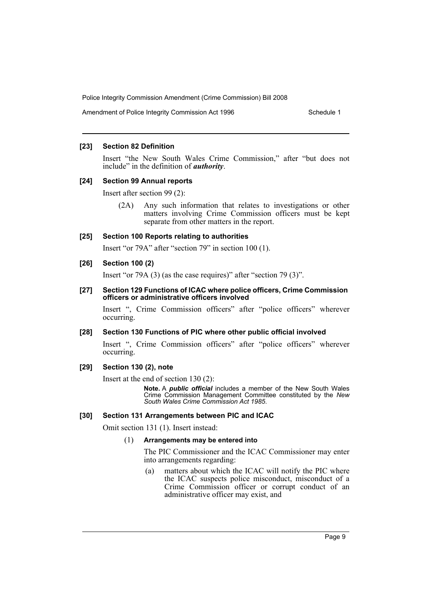Amendment of Police Integrity Commission Act 1996 Schedule 1

## **[23] Section 82 Definition**

Insert "the New South Wales Crime Commission," after "but does not include" in the definition of *authority*.

#### **[24] Section 99 Annual reports**

Insert after section 99 (2):

(2A) Any such information that relates to investigations or other matters involving Crime Commission officers must be kept separate from other matters in the report.

#### **[25] Section 100 Reports relating to authorities**

Insert "or 79A" after "section 79" in section 100 (1).

## **[26] Section 100 (2)**

Insert "or 79A (3) (as the case requires)" after "section 79 (3)".

#### **[27] Section 129 Functions of ICAC where police officers, Crime Commission officers or administrative officers involved**

Insert ", Crime Commission officers" after "police officers" wherever occurring.

## **[28] Section 130 Functions of PIC where other public official involved**

Insert ", Crime Commission officers" after "police officers" wherever occurring.

## **[29] Section 130 (2), note**

Insert at the end of section 130 (2):

**Note.** A *public official* includes a member of the New South Wales Crime Commission Management Committee constituted by the *New South Wales Crime Commission Act 1985*.

#### **[30] Section 131 Arrangements between PIC and ICAC**

Omit section 131 (1). Insert instead:

#### (1) **Arrangements may be entered into**

The PIC Commissioner and the ICAC Commissioner may enter into arrangements regarding:

(a) matters about which the ICAC will notify the PIC where the ICAC suspects police misconduct, misconduct of a Crime Commission officer or corrupt conduct of an administrative officer may exist, and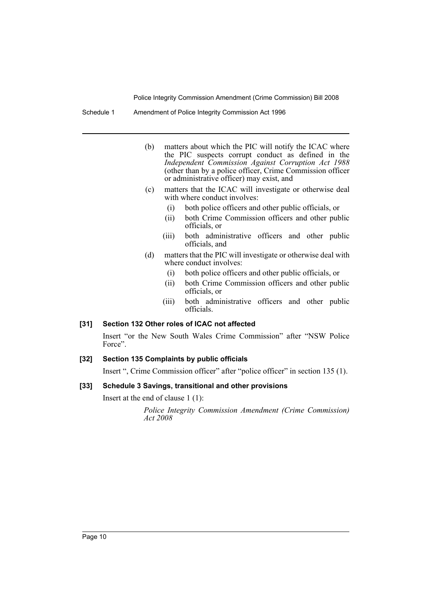Schedule 1 Amendment of Police Integrity Commission Act 1996

- (b) matters about which the PIC will notify the ICAC where the PIC suspects corrupt conduct as defined in the *Independent Commission Against Corruption Act 1988* (other than by a police officer, Crime Commission officer or administrative officer) may exist, and
- (c) matters that the ICAC will investigate or otherwise deal with where conduct involves:
	- (i) both police officers and other public officials, or
	- (ii) both Crime Commission officers and other public officials, or
	- (iii) both administrative officers and other public officials, and
- (d) matters that the PIC will investigate or otherwise deal with where conduct involves:
	- (i) both police officers and other public officials, or
	- (ii) both Crime Commission officers and other public officials, or
	- (iii) both administrative officers and other public officials.

## **[31] Section 132 Other roles of ICAC not affected**

Insert "or the New South Wales Crime Commission" after "NSW Police Force".

#### **[32] Section 135 Complaints by public officials**

Insert ", Crime Commission officer" after "police officer" in section 135 (1).

## **[33] Schedule 3 Savings, transitional and other provisions**

Insert at the end of clause 1 (1):

*Police Integrity Commission Amendment (Crime Commission) Act 2008*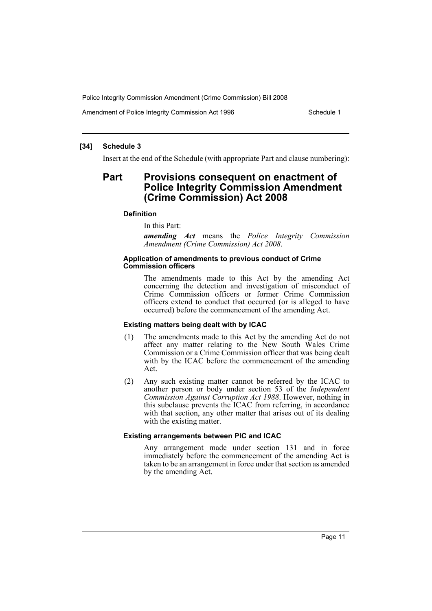Amendment of Police Integrity Commission Act 1996 Schedule 1

## **[34] Schedule 3**

Insert at the end of the Schedule (with appropriate Part and clause numbering):

## **Part Provisions consequent on enactment of Police Integrity Commission Amendment (Crime Commission) Act 2008**

## **Definition**

In this Part:

*amending Act* means the *Police Integrity Commission Amendment (Crime Commission) Act 2008*.

#### **Application of amendments to previous conduct of Crime Commission officers**

The amendments made to this Act by the amending Act concerning the detection and investigation of misconduct of Crime Commission officers or former Crime Commission officers extend to conduct that occurred (or is alleged to have occurred) before the commencement of the amending Act.

## **Existing matters being dealt with by ICAC**

- (1) The amendments made to this Act by the amending Act do not affect any matter relating to the New South Wales Crime Commission or a Crime Commission officer that was being dealt with by the ICAC before the commencement of the amending Act.
- (2) Any such existing matter cannot be referred by the ICAC to another person or body under section 53 of the *Independent Commission Against Corruption Act 1988*. However, nothing in this subclause prevents the ICAC from referring, in accordance with that section, any other matter that arises out of its dealing with the existing matter.

#### **Existing arrangements between PIC and ICAC**

Any arrangement made under section 131 and in force immediately before the commencement of the amending Act is taken to be an arrangement in force under that section as amended by the amending Act.